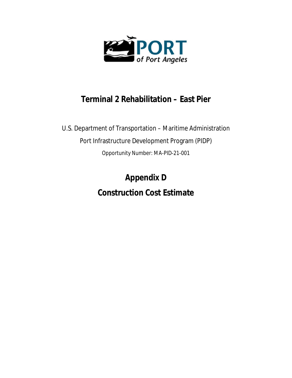

## **Terminal 2 Rehabilitation – East Pier**

U.S. Department of Transportation – Maritime Administration Port Infrastructure Development Program (PIDP) Opportunity Number: MA-PID-21-001

> **Appendix D Construction Cost Estimate**